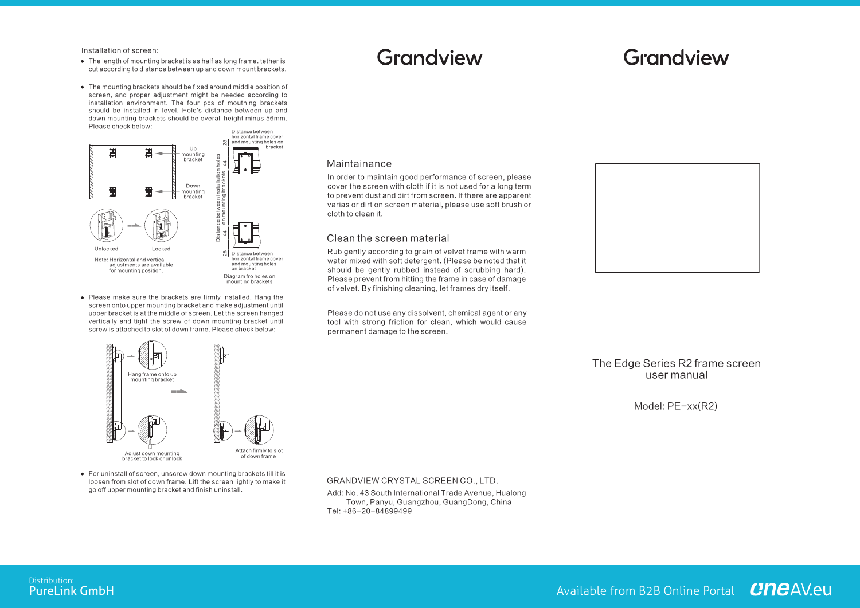Installation of screen:

- The length of mounting bracket is as half as long frame, tether is cut according to distance between up and down mount brackets.
- The mounting brackets should be fixed around middle position of screen, and proper adjustment might be needed according to installation environment. The four pcs of moutning brackets should be installed in level. Hole's distance between up and down mounting brackets should be overall height minus 56mm. Please check below:



• Please make sure the brackets are firmly installed. Hang the screen onto upper mounting bracket and make adjustment until upper bracket is at the middle of screen. Let the screen hanged vertically and tight the screw of down mounting bracket until screw is attached to slot of down frame. Please check below:

# Grandview

## Grandview

### Maintainance

In order to maintain good performance of screen, please cover the screen with cloth if it is not used for a long term to prevent dust and dirt from screen. If there are apparent varias or dirt on screen material, please use soft brush or cloth to clean it.

## Clean the screen material

permanent damage to the screen.

Rub gently according to grain of velvet frame with warm water mixed with soft detergent. (Please be noted that it should be gently rubbed instead of scrubbing hard). Please prevent from hitting the frame in case of damage of velvet. By finishing cleaning, let frames dry itself.

Please do not use any dissolvent, chemical agent or any tool with strong friction for clean, which would cause

Hang frame onto up mounting bracket



Adjust down mounting bracket to lock or unlock

- Attach firmly to slot of down frame
- For uninstall of screen, unscrew down mounting brackets till it is loosen from slot of down frame. Lift the screen lightly to make it go off upper mounting bracket and finish uninstall.

GRANDVIEW CRYSTAL SCREEN CO., LTD.

Add: No. 43 South International Trade Avenue, Hualong Town, Panyu, Guangzhou, GuangDong, China Tel: +86-20-84899499



The Edge Series R2 frame screen user manual

Model: PE-xx(R2)

Distribution:<br>PureLink GmbH

Available from B2B Online Portal CHCAVeu